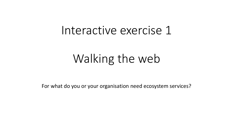# Interactive exercise 1

# Walking the web

For what do you or your organisation need ecosystem services?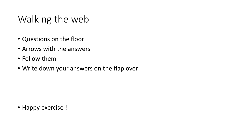### Walking the web

- Questions on the floor
- Arrows with the answers
- Follow them
- Write down your answers on the flap over

• Happy exercise !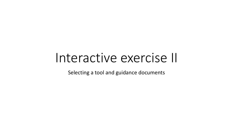# Interactive exercise II

Selecting a tool and guidance documents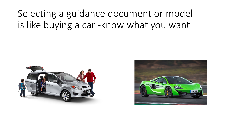## Selecting a guidance document or model – is like buying a car -know what you want



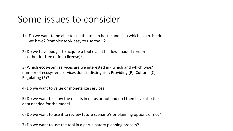#### Some issues to consider

- 1) Do we want to be able to use the tool in house and if so which expertise do we have? (complex tool/ easy to use tool) ?
- 2) Do we have budget to acquire a tool (can it be downloaded /ordered either for free of for a license)?

3) Which ecosystem services are we interested in ( which and which type/ number of ecosystem services does it distinguish: Providing (P), Cultural (C) Regulating (R)?

4) Do we want to value or monetarize services?

5) Do we want to show the results in maps or not and do I then have also the data needed for the model

6) Do we want to use it to review future scenario's or planning options or not?

7) Do we want to use the tool in a participatory planning process?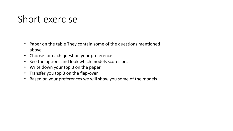### Short exercise

- Paper on the table They contain some of the questions mentioned above
- Choose for each question your preference
- See the options and look which models scores best
- Write down your top 3 on the paper
- Transfer you top 3 on the flap-over
- Based on your preferences we will show you some of the models